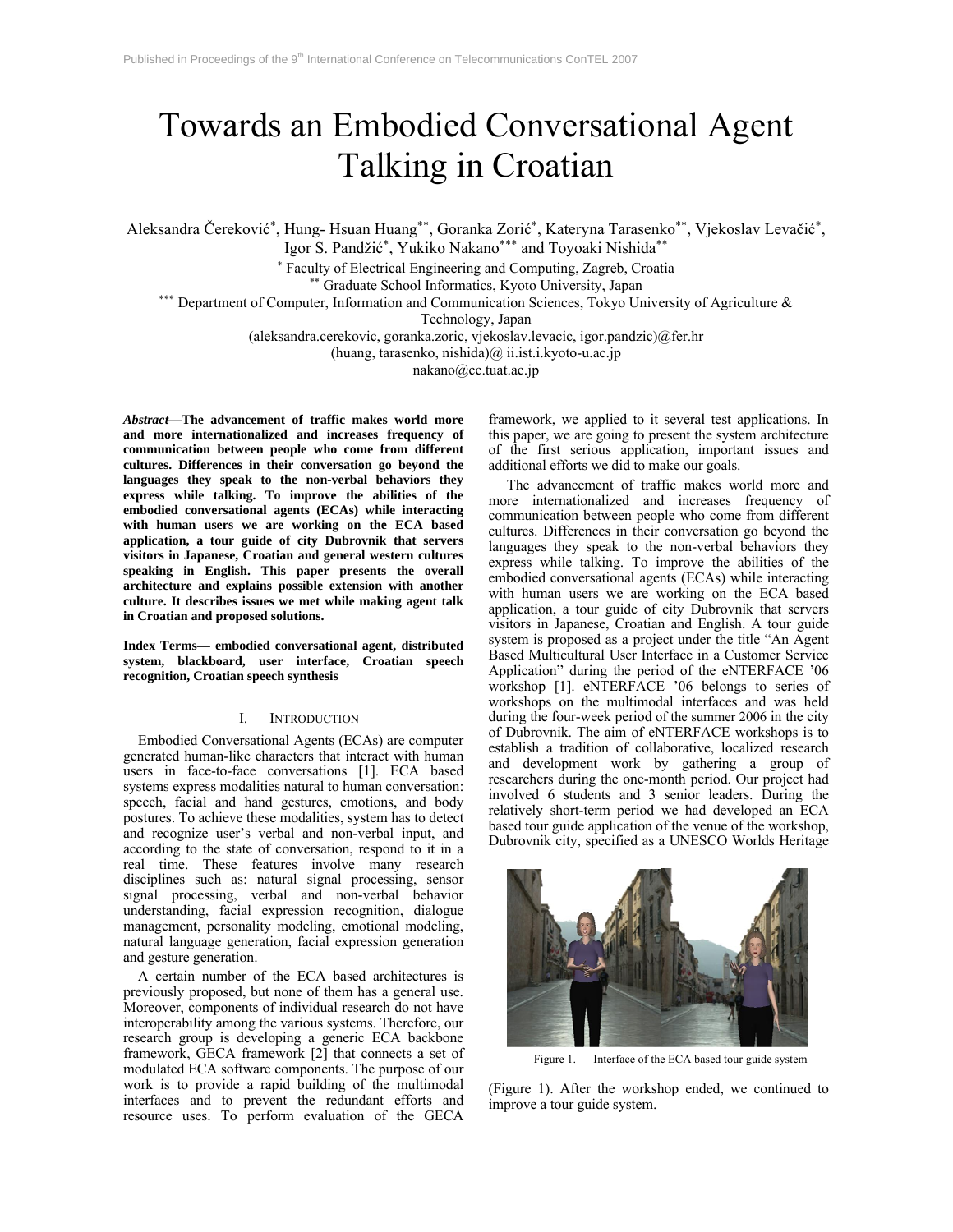# Towards an Embodied Conversational Agent Talking in Croatian

Aleksandra Čereković\*, Hung- Hsuan Huang\*\*, Goranka Zorić\*, Kateryna Tarasenko\*\*, Vjekoslav Levačić\*, Igor S. Pandžić\*, Yukiko Nakano\*\*\* and Toyoaki Nishida\*\*

\* Faculty of Electrical Engineering and Computing, Zagreb, Croatia \*\* Graduate School Informatics, Kyoto University, Japan \*\*\* Department of Computer, Information and Communication Sciences, Tokyo University of Agriculture &

Technology, Japan

(aleksandra.cerekovic, goranka.zoric, vjekoslav.levacic, igor.pandzic)@fer.hr

(huang, tarasenko, nishida)@ ii.ist.i.kyoto-u.ac.jp

nakano@cc.tuat.ac.jp

*Abstract***—The advancement of traffic makes world more and more internationalized and increases frequency of communication between people who come from different cultures. Differences in their conversation go beyond the languages they speak to the non-verbal behaviors they express while talking. To improve the abilities of the embodied conversational agents (ECAs) while interacting with human users we are working on the ECA based application, a tour guide of city Dubrovnik that servers visitors in Japanese, Croatian and general western cultures speaking in English. This paper presents the overall architecture and explains possible extension with another culture. It describes issues we met while making agent talk in Croatian and proposed solutions.** 

**Index Terms— embodied conversational agent, distributed system, blackboard, user interface, Croatian speech recognition, Croatian speech synthesis** 

# I. INTRODUCTION

Embodied Conversational Agents (ECAs) are computer generated human-like characters that interact with human users in face-to-face conversations [1]. ECA based systems express modalities natural to human conversation: speech, facial and hand gestures, emotions, and body postures. To achieve these modalities, system has to detect and recognize user's verbal and non-verbal input, and according to the state of conversation, respond to it in a real time. These features involve many research disciplines such as: natural signal processing, sensor signal processing, verbal and non-verbal behavior understanding, facial expression recognition, dialogue management, personality modeling, emotional modeling, natural language generation, facial expression generation and gesture generation.

A certain number of the ECA based architectures is previously proposed, but none of them has a general use. Moreover, components of individual research do not have interoperability among the various systems. Therefore, our research group is developing a generic ECA backbone framework, GECA framework [2] that connects a set of modulated ECA software components. The purpose of our work is to provide a rapid building of the multimodal interfaces and to prevent the redundant efforts and resource uses. To perform evaluation of the GECA

framework, we applied to it several test applications. In this paper, we are going to present the system architecture of the first serious application, important issues and additional efforts we did to make our goals.

 The advancement of traffic makes world more and more internationalized and increases frequency of communication between people who come from different cultures. Differences in their conversation go beyond the languages they speak to the non-verbal behaviors they express while talking. To improve the abilities of the embodied conversational agents (ECAs) while interacting with human users we are working on the ECA based application, a tour guide of city Dubrovnik that servers visitors in Japanese, Croatian and English. A tour guide system is proposed as a project under the title "An Agent Based Multicultural User Interface in a Customer Service Application" during the period of the eNTERFACE '06 workshop [1]. eNTERFACE '06 belongs to series of workshops on the multimodal interfaces and was held during the four-week period of the summer 2006 in the city of Dubrovnik. The aim of eNTERFACE workshops is to establish a tradition of collaborative, localized research and development work by gathering a group of researchers during the one-month period. Our project had involved 6 students and 3 senior leaders. During the relatively short-term period we had developed an ECA based tour guide application of the venue of the workshop, Dubrovnik city, specified as a UNESCO Worlds Heritage



Figure 1. Interface of the ECA based tour guide system

(Figure 1). After the workshop ended, we continued to improve a tour guide system.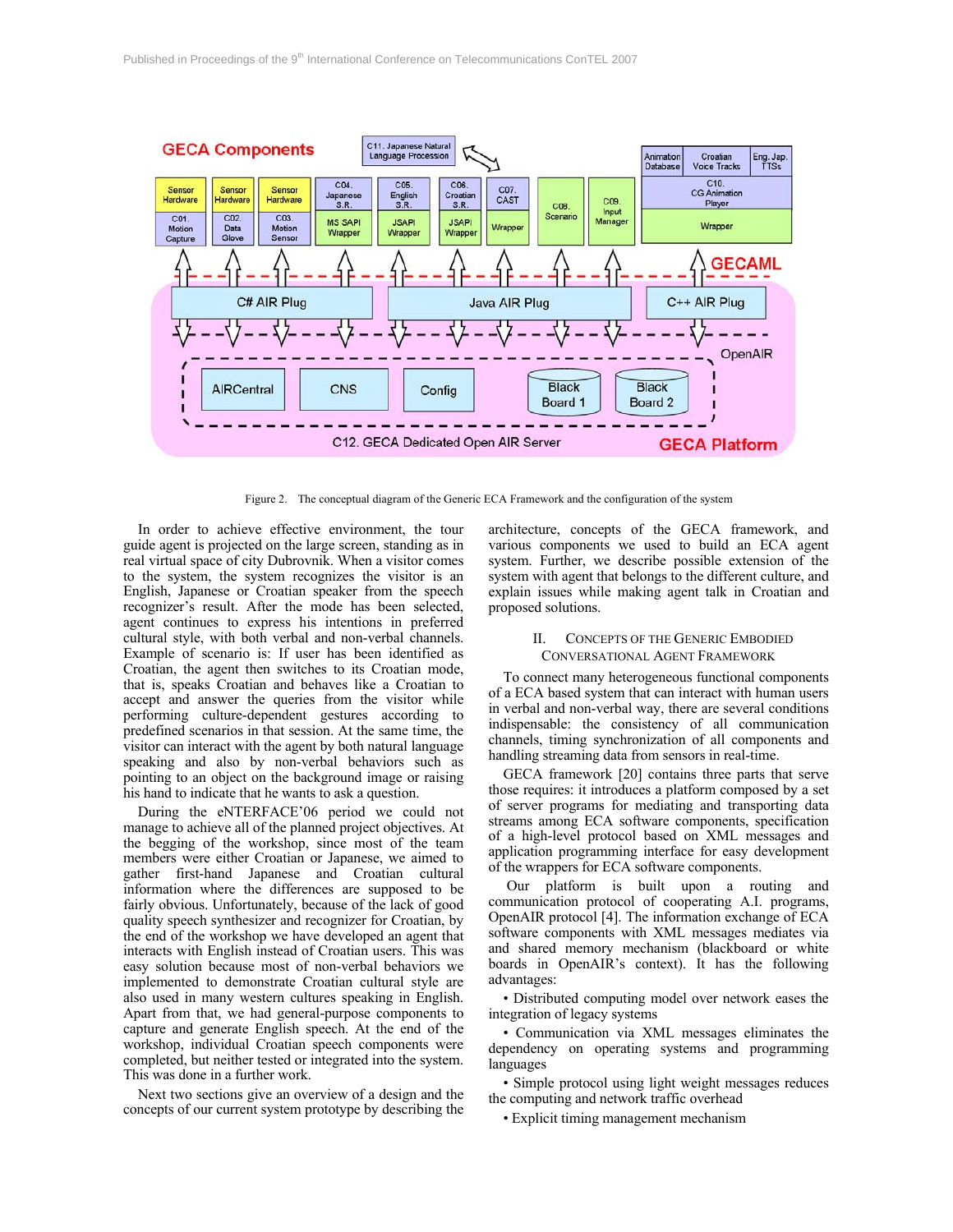

Figure 2. The conceptual diagram of the Generic ECA Framework and the configuration of the system

In order to achieve effective environment, the tour guide agent is projected on the large screen, standing as in real virtual space of city Dubrovnik. When a visitor comes to the system, the system recognizes the visitor is an English, Japanese or Croatian speaker from the speech recognizer's result. After the mode has been selected, agent continues to express his intentions in preferred cultural style, with both verbal and non-verbal channels. Example of scenario is: If user has been identified as Croatian, the agent then switches to its Croatian mode, that is, speaks Croatian and behaves like a Croatian to accept and answer the queries from the visitor while performing culture-dependent gestures according to predefined scenarios in that session. At the same time, the visitor can interact with the agent by both natural language speaking and also by non-verbal behaviors such as pointing to an object on the background image or raising his hand to indicate that he wants to ask a question.

During the eNTERFACE'06 period we could not manage to achieve all of the planned project objectives. At the begging of the workshop, since most of the team members were either Croatian or Japanese, we aimed to gather first-hand Japanese and Croatian cultural information where the differences are supposed to be fairly obvious. Unfortunately, because of the lack of good quality speech synthesizer and recognizer for Croatian, by the end of the workshop we have developed an agent that interacts with English instead of Croatian users. This was easy solution because most of non-verbal behaviors we implemented to demonstrate Croatian cultural style are also used in many western cultures speaking in English. Apart from that, we had general-purpose components to capture and generate English speech. At the end of the workshop, individual Croatian speech components were completed, but neither tested or integrated into the system. This was done in a further work.

Next two sections give an overview of a design and the concepts of our current system prototype by describing the architecture, concepts of the GECA framework, and various components we used to build an ECA agent system. Further, we describe possible extension of the system with agent that belongs to the different culture, and explain issues while making agent talk in Croatian and proposed solutions.

## II. CONCEPTS OF THE GENERIC EMBODIED CONVERSATIONAL AGENT FRAMEWORK

To connect many heterogeneous functional components of a ECA based system that can interact with human users in verbal and non-verbal way, there are several conditions indispensable: the consistency of all communication channels, timing synchronization of all components and handling streaming data from sensors in real-time.

GECA framework [20] contains three parts that serve those requires: it introduces a platform composed by a set of server programs for mediating and transporting data streams among ECA software components, specification of a high-level protocol based on XML messages and application programming interface for easy development of the wrappers for ECA software components.

 Our platform is built upon a routing and communication protocol of cooperating A.I. programs, OpenAIR protocol [4]. The information exchange of ECA software components with XML messages mediates via and shared memory mechanism (blackboard or white boards in OpenAIR's context). It has the following advantages:

• Distributed computing model over network eases the integration of legacy systems

• Communication via XML messages eliminates the dependency on operating systems and programming languages

• Simple protocol using light weight messages reduces the computing and network traffic overhead

• Explicit timing management mechanism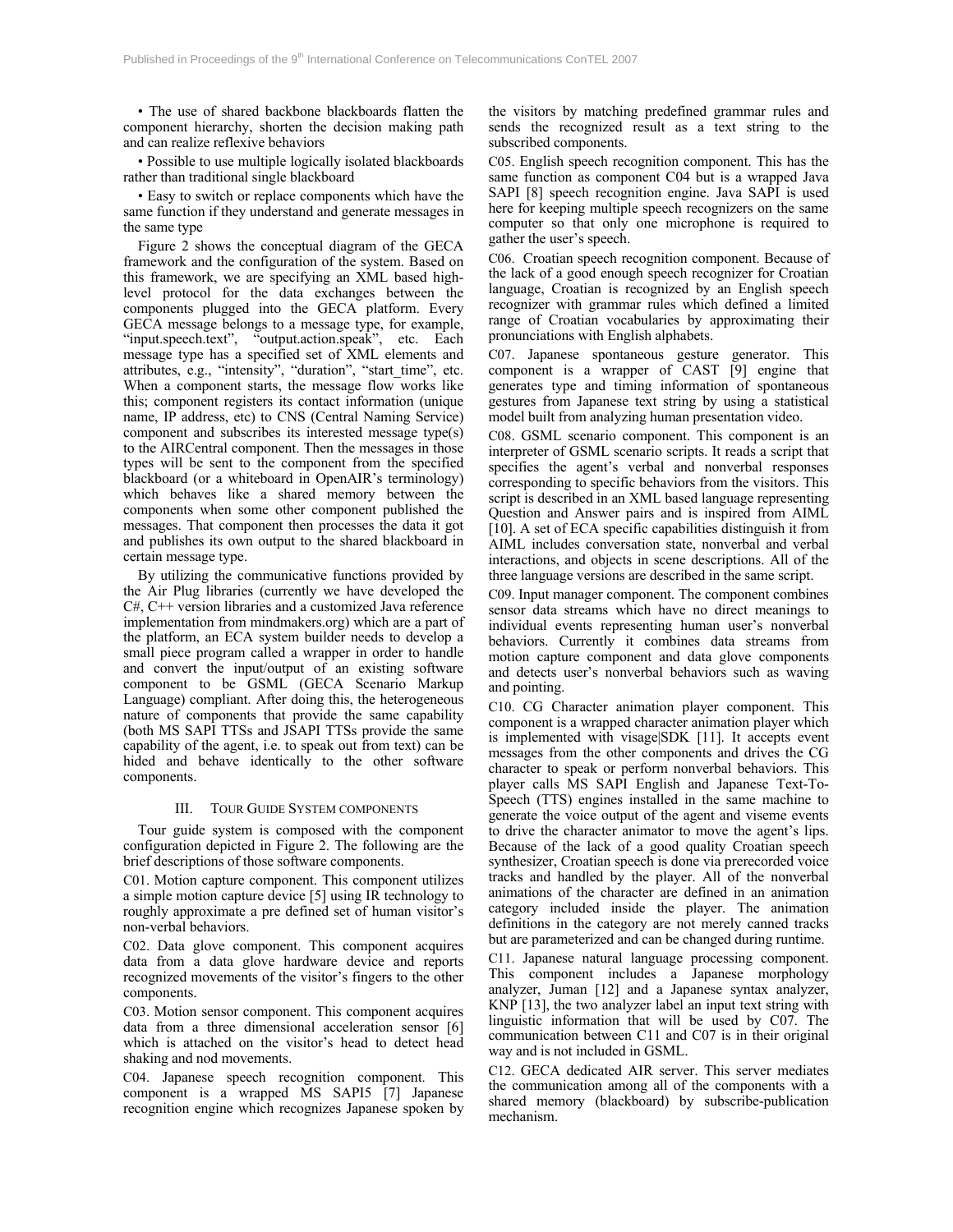• The use of shared backbone blackboards flatten the component hierarchy, shorten the decision making path and can realize reflexive behaviors

• Possible to use multiple logically isolated blackboards rather than traditional single blackboard

• Easy to switch or replace components which have the same function if they understand and generate messages in the same type

Figure 2 shows the conceptual diagram of the GECA framework and the configuration of the system. Based on this framework, we are specifying an XML based highlevel protocol for the data exchanges between the components plugged into the GECA platform. Every GECA message belongs to a message type, for example, "input.speech.text", "output.action.speak", etc. Each message type has a specified set of XML elements and attributes, e.g., "intensity", "duration", "start\_time", etc. When a component starts, the message flow works like this; component registers its contact information (unique name, IP address, etc) to CNS (Central Naming Service) component and subscribes its interested message type(s) to the AIRCentral component. Then the messages in those types will be sent to the component from the specified blackboard (or a whiteboard in OpenAIR's terminology) which behaves like a shared memory between the components when some other component published the messages. That component then processes the data it got and publishes its own output to the shared blackboard in certain message type.

By utilizing the communicative functions provided by the Air Plug libraries (currently we have developed the C#, C++ version libraries and a customized Java reference implementation from mindmakers.org) which are a part of the platform, an ECA system builder needs to develop a small piece program called a wrapper in order to handle and convert the input/output of an existing software component to be GSML (GECA Scenario Markup Language) compliant. After doing this, the heterogeneous nature of components that provide the same capability (both MS SAPI TTSs and JSAPI TTSs provide the same capability of the agent, i.e. to speak out from text) can be hided and behave identically to the other software components.

## III. TOUR GUIDE SYSTEM COMPONENTS

Tour guide system is composed with the component configuration depicted in Figure 2. The following are the brief descriptions of those software components.

C01. Motion capture component. This component utilizes a simple motion capture device [5] using IR technology to roughly approximate a pre defined set of human visitor's non-verbal behaviors.

C02. Data glove component. This component acquires data from a data glove hardware device and reports recognized movements of the visitor's fingers to the other components.

C03. Motion sensor component. This component acquires data from a three dimensional acceleration sensor [6] which is attached on the visitor's head to detect head shaking and nod movements.

C04. Japanese speech recognition component. This component is a wrapped MS SAPI5 [7] Japanese recognition engine which recognizes Japanese spoken by

the visitors by matching predefined grammar rules and sends the recognized result as a text string to the subscribed components.

C05. English speech recognition component. This has the same function as component C04 but is a wrapped Java SAPI [8] speech recognition engine. Java SAPI is used here for keeping multiple speech recognizers on the same computer so that only one microphone is required to gather the user's speech.

C06. Croatian speech recognition component. Because of the lack of a good enough speech recognizer for Croatian language, Croatian is recognized by an English speech recognizer with grammar rules which defined a limited range of Croatian vocabularies by approximating their pronunciations with English alphabets.

C07. Japanese spontaneous gesture generator. This component is a wrapper of CAST [9] engine that generates type and timing information of spontaneous gestures from Japanese text string by using a statistical model built from analyzing human presentation video.

C08. GSML scenario component. This component is an interpreter of GSML scenario scripts. It reads a script that specifies the agent's verbal and nonverbal responses corresponding to specific behaviors from the visitors. This script is described in an XML based language representing Question and Answer pairs and is inspired from AIML [10]. A set of ECA specific capabilities distinguish it from AIML includes conversation state, nonverbal and verbal interactions, and objects in scene descriptions. All of the three language versions are described in the same script.

C09. Input manager component. The component combines sensor data streams which have no direct meanings to individual events representing human user's nonverbal behaviors. Currently it combines data streams from motion capture component and data glove components and detects user's nonverbal behaviors such as waving and pointing.

C10. CG Character animation player component. This component is a wrapped character animation player which is implemented with visage|SDK [11]. It accepts event messages from the other components and drives the CG character to speak or perform nonverbal behaviors. This player calls MS SAPI English and Japanese Text-To-Speech (TTS) engines installed in the same machine to generate the voice output of the agent and viseme events to drive the character animator to move the agent's lips. Because of the lack of a good quality Croatian speech synthesizer, Croatian speech is done via prerecorded voice tracks and handled by the player. All of the nonverbal animations of the character are defined in an animation category included inside the player. The animation definitions in the category are not merely canned tracks but are parameterized and can be changed during runtime.

C11. Japanese natural language processing component. This component includes a Japanese morphology analyzer, Juman [12] and a Japanese syntax analyzer, KNP [13], the two analyzer label an input text string with linguistic information that will be used by C07. The communication between C11 and C07 is in their original way and is not included in GSML.

C12. GECA dedicated AIR server. This server mediates the communication among all of the components with a shared memory (blackboard) by subscribe-publication mechanism.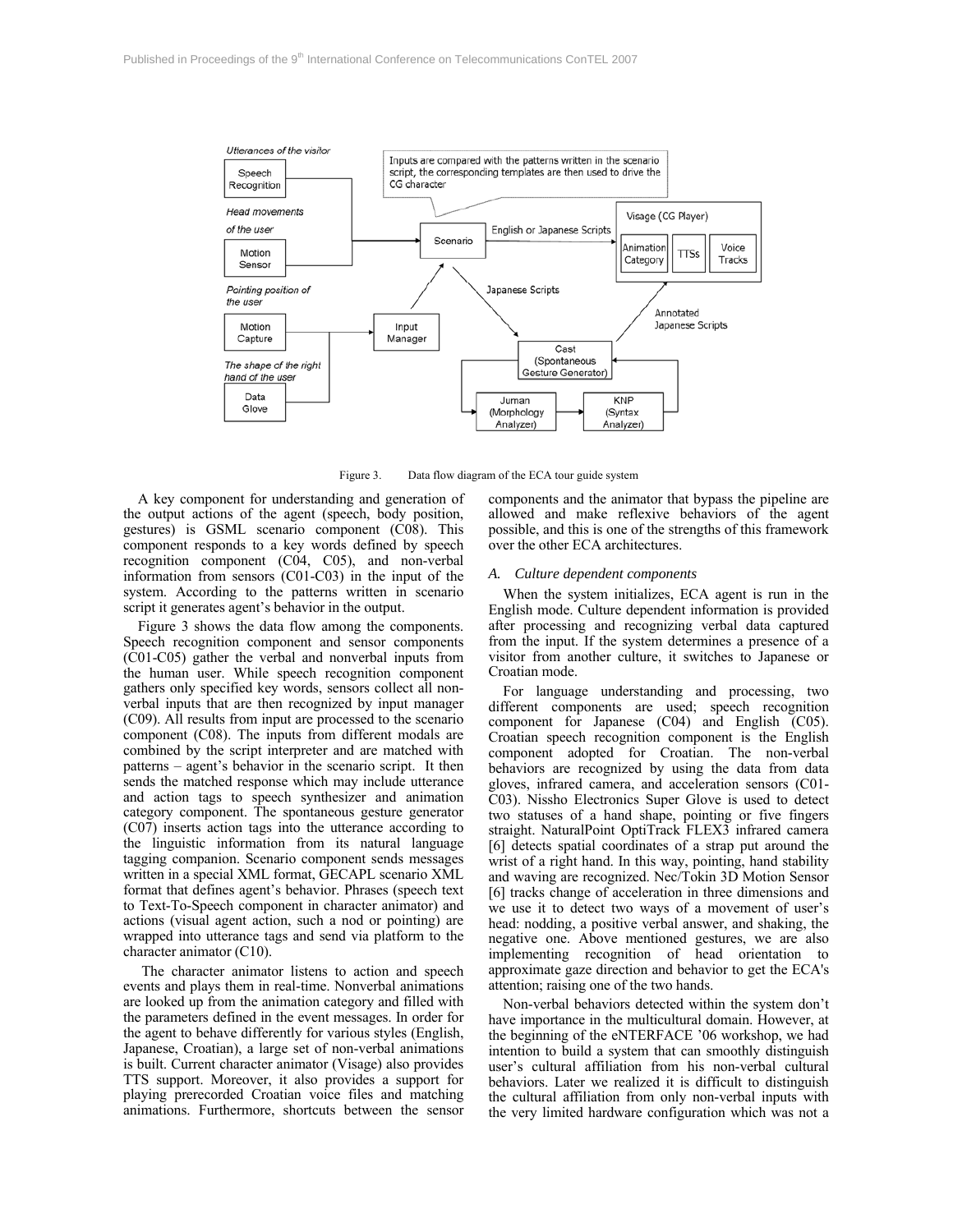

Figure 3. Data flow diagram of the ECA tour guide system

A key component for understanding and generation of the output actions of the agent (speech, body position, gestures) is GSML scenario component (C08). This component responds to a key words defined by speech recognition component (C04, C05), and non-verbal information from sensors (C01-C03) in the input of the system. According to the patterns written in scenario script it generates agent's behavior in the output.

Figure 3 shows the data flow among the components. Speech recognition component and sensor components (C01-C05) gather the verbal and nonverbal inputs from the human user. While speech recognition component gathers only specified key words, sensors collect all nonverbal inputs that are then recognized by input manager (C09). All results from input are processed to the scenario component (C08). The inputs from different modals are combined by the script interpreter and are matched with patterns – agent's behavior in the scenario script. It then sends the matched response which may include utterance and action tags to speech synthesizer and animation category component. The spontaneous gesture generator (C07) inserts action tags into the utterance according to the linguistic information from its natural language tagging companion. Scenario component sends messages written in a special XML format, GECAPL scenario XML format that defines agent's behavior. Phrases (speech text to Text-To-Speech component in character animator) and actions (visual agent action, such a nod or pointing) are wrapped into utterance tags and send via platform to the character animator (C10).

 The character animator listens to action and speech events and plays them in real-time. Nonverbal animations are looked up from the animation category and filled with the parameters defined in the event messages. In order for the agent to behave differently for various styles (English, Japanese, Croatian), a large set of non-verbal animations is built. Current character animator (Visage) also provides TTS support. Moreover, it also provides a support for playing prerecorded Croatian voice files and matching animations. Furthermore, shortcuts between the sensor

components and the animator that bypass the pipeline are allowed and make reflexive behaviors of the agent possible, and this is one of the strengths of this framework over the other ECA architectures.

## *A. Culture dependent components*

When the system initializes, ECA agent is run in the English mode. Culture dependent information is provided after processing and recognizing verbal data captured from the input. If the system determines a presence of a visitor from another culture, it switches to Japanese or Croatian mode.

For language understanding and processing, two different components are used; speech recognition component for Japanese (C04) and English (C05). Croatian speech recognition component is the English component adopted for Croatian. The non-verbal behaviors are recognized by using the data from data gloves, infrared camera, and acceleration sensors (C01- C03). Nissho Electronics Super Glove is used to detect two statuses of a hand shape, pointing or five fingers straight. NaturalPoint OptiTrack FLEX3 infrared camera [6] detects spatial coordinates of a strap put around the wrist of a right hand. In this way, pointing, hand stability and waving are recognized. Nec/Tokin 3D Motion Sensor [6] tracks change of acceleration in three dimensions and we use it to detect two ways of a movement of user's head: nodding, a positive verbal answer, and shaking, the negative one. Above mentioned gestures, we are also implementing recognition of head orientation to approximate gaze direction and behavior to get the ECA's attention; raising one of the two hands.

Non-verbal behaviors detected within the system don't have importance in the multicultural domain. However, at the beginning of the eNTERFACE '06 workshop, we had intention to build a system that can smoothly distinguish user's cultural affiliation from his non-verbal cultural behaviors. Later we realized it is difficult to distinguish the cultural affiliation from only non-verbal inputs with the very limited hardware configuration which was not a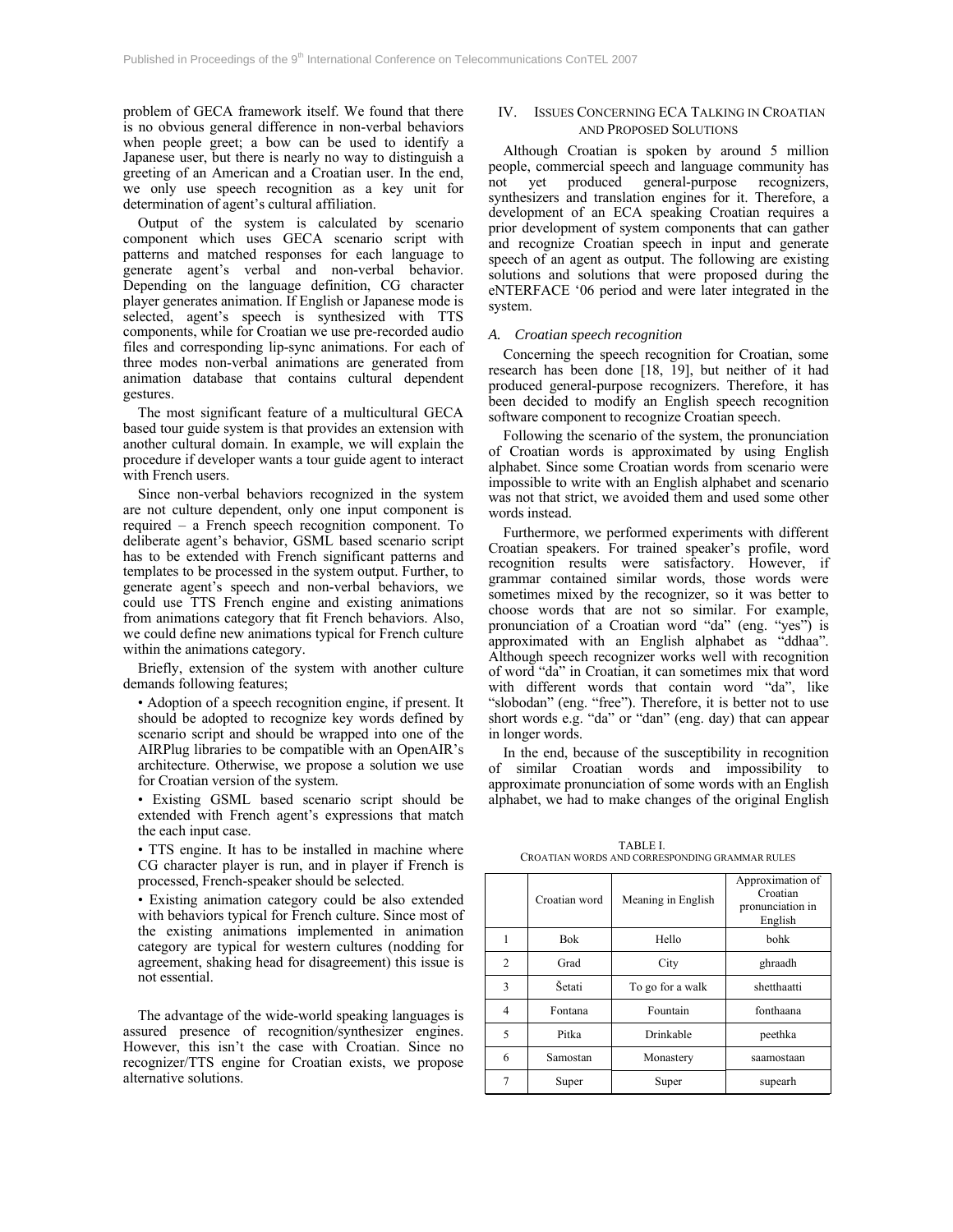problem of GECA framework itself. We found that there is no obvious general difference in non-verbal behaviors when people greet; a bow can be used to identify a Japanese user, but there is nearly no way to distinguish a greeting of an American and a Croatian user. In the end, we only use speech recognition as a key unit for determination of agent's cultural affiliation.

Output of the system is calculated by scenario component which uses GECA scenario script with patterns and matched responses for each language to generate agent's verbal and non-verbal behavior. Depending on the language definition, CG character player generates animation. If English or Japanese mode is selected, agent's speech is synthesized with TTS components, while for Croatian we use pre-recorded audio files and corresponding lip-sync animations. For each of three modes non-verbal animations are generated from animation database that contains cultural dependent gestures.

The most significant feature of a multicultural GECA based tour guide system is that provides an extension with another cultural domain. In example, we will explain the procedure if developer wants a tour guide agent to interact with French users.

Since non-verbal behaviors recognized in the system are not culture dependent, only one input component is required – a French speech recognition component. To deliberate agent's behavior, GSML based scenario script has to be extended with French significant patterns and templates to be processed in the system output. Further, to generate agent's speech and non-verbal behaviors, we could use TTS French engine and existing animations from animations category that fit French behaviors. Also, we could define new animations typical for French culture within the animations category.

Briefly, extension of the system with another culture demands following features;

• Adoption of a speech recognition engine, if present. It should be adopted to recognize key words defined by scenario script and should be wrapped into one of the AIRPlug libraries to be compatible with an OpenAIR's architecture. Otherwise, we propose a solution we use for Croatian version of the system.

• Existing GSML based scenario script should be extended with French agent's expressions that match the each input case.

• TTS engine. It has to be installed in machine where CG character player is run, and in player if French is processed, French-speaker should be selected.

• Existing animation category could be also extended with behaviors typical for French culture. Since most of the existing animations implemented in animation category are typical for western cultures (nodding for agreement, shaking head for disagreement) this issue is not essential.

The advantage of the wide-world speaking languages is assured presence of recognition/synthesizer engines. However, this isn't the case with Croatian. Since no recognizer/TTS engine for Croatian exists, we propose alternative solutions.

# IV. ISSUES CONCERNING ECA TALKING IN CROATIAN AND PROPOSED SOLUTIONS

Although Croatian is spoken by around 5 million people, commercial speech and language community has not yet produced general-purpose recognizers, synthesizers and translation engines for it. Therefore, a development of an ECA speaking Croatian requires a prior development of system components that can gather and recognize Croatian speech in input and generate speech of an agent as output. The following are existing solutions and solutions that were proposed during the eNTERFACE '06 period and were later integrated in the system.

# *A. Croatian speech recognition*

Concerning the speech recognition for Croatian, some research has been done [18, 19], but neither of it had produced general-purpose recognizers. Therefore, it has been decided to modify an English speech recognition software component to recognize Croatian speech.

Following the scenario of the system, the pronunciation of Croatian words is approximated by using English alphabet. Since some Croatian words from scenario were impossible to write with an English alphabet and scenario was not that strict, we avoided them and used some other words instead.

Furthermore, we performed experiments with different Croatian speakers. For trained speaker's profile, word recognition results were satisfactory. However, if grammar contained similar words, those words were sometimes mixed by the recognizer, so it was better to choose words that are not so similar. For example, pronunciation of a Croatian word "da" (eng. "yes") is approximated with an English alphabet as "ddhaa". Although speech recognizer works well with recognition of word "da" in Croatian, it can sometimes mix that word with different words that contain word "da", like "slobodan" (eng. "free"). Therefore, it is better not to use short words e.g. "da" or "dan" (eng. day) that can appear in longer words.

In the end, because of the susceptibility in recognition of similar Croatian words and impossibility to approximate pronunciation of some words with an English alphabet, we had to make changes of the original English

Croatian word | Meaning in English Approximation of Croatian pronunciation in English 1 Bok Hello bohk 2 Grad City ghraadh 3 Setati To go for a walk shetthaatti 4 Fontana Fountain fonthaana 5 Pitka Drinkable peethka 6 Samostan Monastery saamostaan 7 Super Super supearh

TABLE I. CROATIAN WORDS AND CORRESPONDING GRAMMAR RULES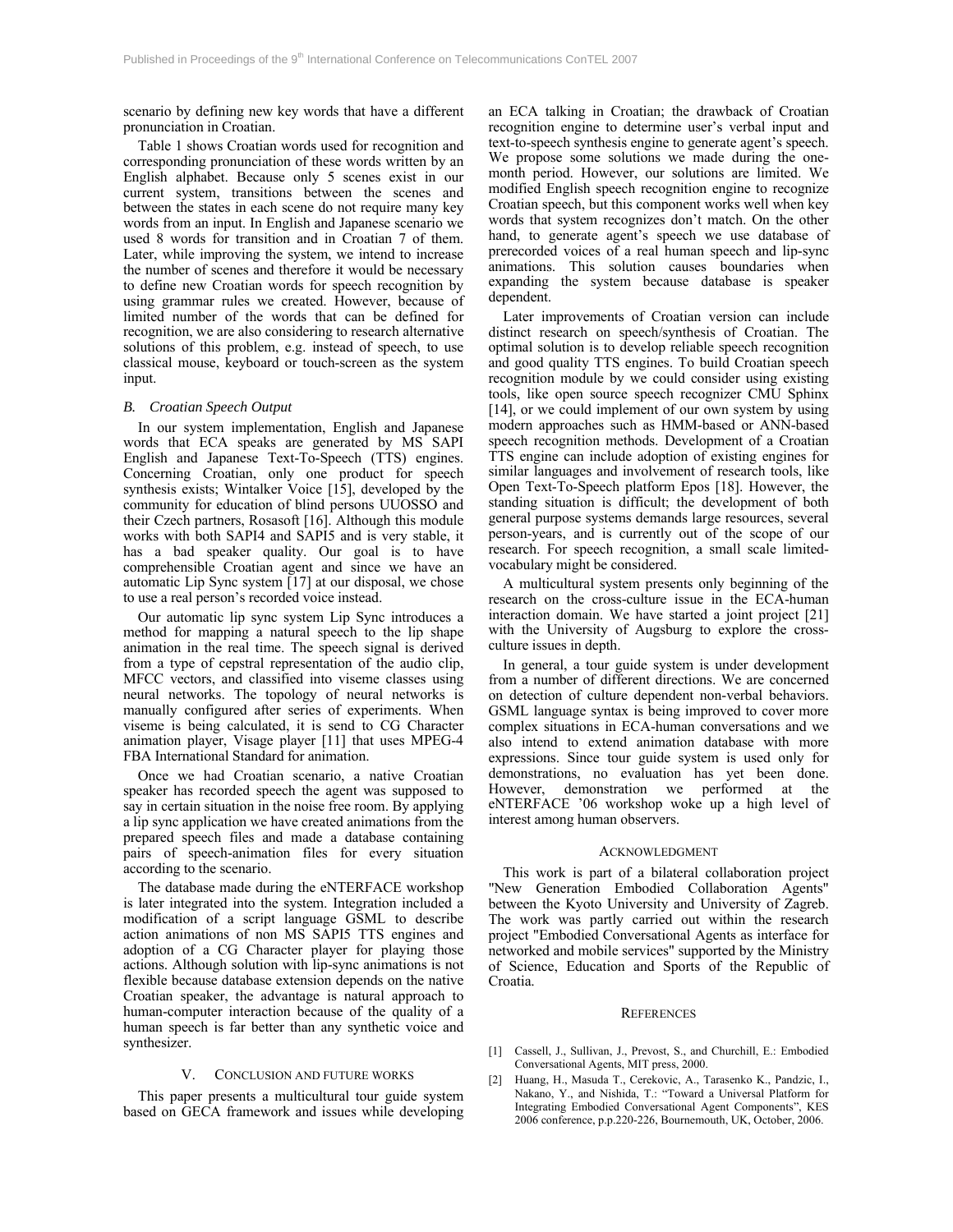scenario by defining new key words that have a different pronunciation in Croatian.

Table 1 shows Croatian words used for recognition and corresponding pronunciation of these words written by an English alphabet. Because only 5 scenes exist in our current system, transitions between the scenes and between the states in each scene do not require many key words from an input. In English and Japanese scenario we used 8 words for transition and in Croatian 7 of them. Later, while improving the system, we intend to increase the number of scenes and therefore it would be necessary to define new Croatian words for speech recognition by using grammar rules we created. However, because of limited number of the words that can be defined for recognition, we are also considering to research alternative solutions of this problem, e.g. instead of speech, to use classical mouse, keyboard or touch-screen as the system input.

# *B. Croatian Speech Output*

In our system implementation, English and Japanese words that ECA speaks are generated by MS SAPI English and Japanese Text-To-Speech (TTS) engines. Concerning Croatian, only one product for speech synthesis exists; Wintalker Voice [15], developed by the community for education of blind persons UUOSSO and their Czech partners, Rosasoft [16]. Although this module works with both SAPI4 and SAPI5 and is very stable, it has a bad speaker quality. Our goal is to have comprehensible Croatian agent and since we have an automatic Lip Sync system [17] at our disposal, we chose to use a real person's recorded voice instead.

Our automatic lip sync system Lip Sync introduces a method for mapping a natural speech to the lip shape animation in the real time. The speech signal is derived from a type of cepstral representation of the audio clip, MFCC vectors, and classified into viseme classes using neural networks. The topology of neural networks is manually configured after series of experiments. When viseme is being calculated, it is send to CG Character animation player, Visage player [11] that uses MPEG-4 FBA International Standard for animation.

Once we had Croatian scenario, a native Croatian speaker has recorded speech the agent was supposed to say in certain situation in the noise free room. By applying a lip sync application we have created animations from the prepared speech files and made a database containing pairs of speech-animation files for every situation according to the scenario.

The database made during the eNTERFACE workshop is later integrated into the system. Integration included a modification of a script language GSML to describe action animations of non MS SAPI5 TTS engines and adoption of a CG Character player for playing those actions. Although solution with lip-sync animations is not flexible because database extension depends on the native Croatian speaker, the advantage is natural approach to human-computer interaction because of the quality of a human speech is far better than any synthetic voice and synthesizer.

#### V. CONCLUSION AND FUTURE WORKS

This paper presents a multicultural tour guide system based on GECA framework and issues while developing an ECA talking in Croatian; the drawback of Croatian recognition engine to determine user's verbal input and text-to-speech synthesis engine to generate agent's speech. We propose some solutions we made during the onemonth period. However, our solutions are limited. We modified English speech recognition engine to recognize Croatian speech, but this component works well when key words that system recognizes don't match. On the other hand, to generate agent's speech we use database of prerecorded voices of a real human speech and lip-sync animations. This solution causes boundaries when expanding the system because database is speaker dependent.

Later improvements of Croatian version can include distinct research on speech/synthesis of Croatian. The optimal solution is to develop reliable speech recognition and good quality TTS engines. To build Croatian speech recognition module by we could consider using existing tools, like open source speech recognizer CMU Sphinx [14], or we could implement of our own system by using modern approaches such as HMM-based or ANN-based speech recognition methods. Development of a Croatian TTS engine can include adoption of existing engines for similar languages and involvement of research tools, like Open Text-To-Speech platform Epos [18]. However, the standing situation is difficult; the development of both general purpose systems demands large resources, several person-years, and is currently out of the scope of our research. For speech recognition, a small scale limitedvocabulary might be considered.

A multicultural system presents only beginning of the research on the cross-culture issue in the ECA-human interaction domain. We have started a joint project [21] with the University of Augsburg to explore the crossculture issues in depth.

In general, a tour guide system is under development from a number of different directions. We are concerned on detection of culture dependent non-verbal behaviors. GSML language syntax is being improved to cover more complex situations in ECA-human conversations and we also intend to extend animation database with more expressions. Since tour guide system is used only for demonstrations, no evaluation has yet been done. However, demonstration we performed at the eNTERFACE '06 workshop woke up a high level of interest among human observers.

#### ACKNOWLEDGMENT

This work is part of a bilateral collaboration project "New Generation Embodied Collaboration Agents" between the Kyoto University and University of Zagreb. The work was partly carried out within the research project "Embodied Conversational Agents as interface for networked and mobile services" supported by the Ministry of Science, Education and Sports of the Republic of Croatia.

#### **REFERENCES**

- [1] Cassell, J., Sullivan, J., Prevost, S., and Churchill, E.: Embodied Conversational Agents, MIT press, 2000.
- [2] Huang, H., Masuda T., Cerekovic, A., Tarasenko K., Pandzic, I., Nakano, Y., and Nishida, T.: "Toward a Universal Platform for Integrating Embodied Conversational Agent Components", KES 2006 conference, p.p.220-226, Bournemouth, UK, October, 2006.